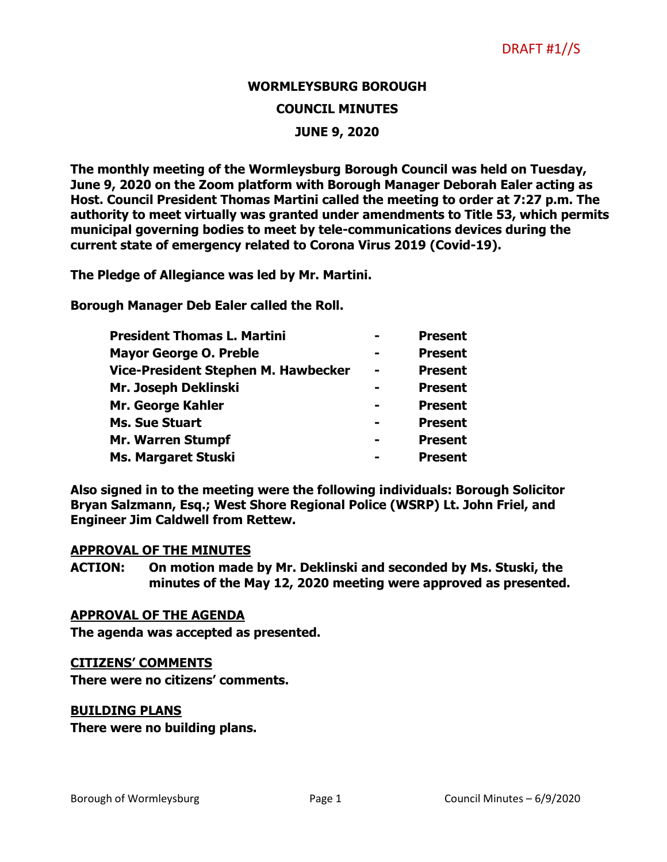# **WORMLEYSBURG BOROUGH COUNCIL MINUTES JUNE 9, 2020**

**The monthly meeting of the Wormleysburg Borough Council was held on Tuesday, June 9, 2020 on the Zoom platform with Borough Manager Deborah Ealer acting as Host. Council President Thomas Martini called the meeting to order at 7:27 p.m. The authority to meet virtually was granted under amendments to Title 53, which permits municipal governing bodies to meet by tele-communications devices during the current state of emergency related to Corona Virus 2019 (Covid-19).** 

**The Pledge of Allegiance was led by Mr. Martini.** 

**Borough Manager Deb Ealer called the Roll.**

| <b>Present</b> |
|----------------|
| <b>Present</b> |
| <b>Present</b> |
| <b>Present</b> |
| <b>Present</b> |
| <b>Present</b> |
| <b>Present</b> |
| <b>Present</b> |
|                |

**Also signed in to the meeting were the following individuals: Borough Solicitor Bryan Salzmann, Esq.; West Shore Regional Police (WSRP) Lt. John Friel, and Engineer Jim Caldwell from Rettew.**

#### **APPROVAL OF THE MINUTES**

**ACTION: On motion made by Mr. Deklinski and seconded by Ms. Stuski, the minutes of the May 12, 2020 meeting were approved as presented.**

## **APPROVAL OF THE AGENDA**

**The agenda was accepted as presented.** 

#### **CITIZENS' COMMENTS**

**There were no citizens' comments.** 

#### **BUILDING PLANS**

**There were no building plans.**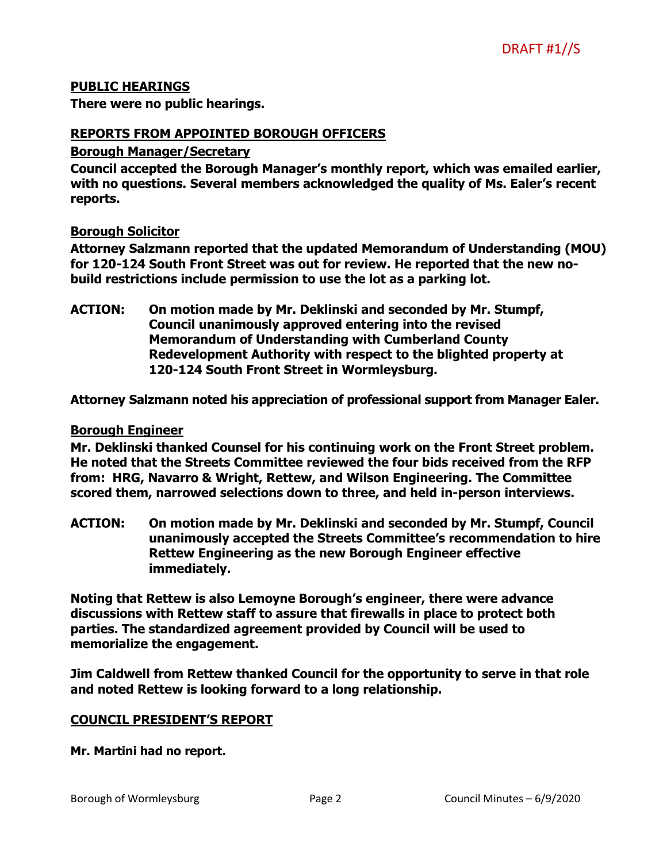## **PUBLIC HEARINGS**

**There were no public hearings.**

## **REPORTS FROM APPOINTED BOROUGH OFFICERS**

#### **Borough Manager/Secretary**

**Council accepted the Borough Manager's monthly report, which was emailed earlier, with no questions. Several members acknowledged the quality of Ms. Ealer's recent reports.**

## **Borough Solicitor**

**Attorney Salzmann reported that the updated Memorandum of Understanding (MOU) for 120-124 South Front Street was out for review. He reported that the new nobuild restrictions include permission to use the lot as a parking lot.** 

**ACTION: On motion made by Mr. Deklinski and seconded by Mr. Stumpf, Council unanimously approved entering into the revised Memorandum of Understanding with Cumberland County Redevelopment Authority with respect to the blighted property at 120-124 South Front Street in Wormleysburg.** 

**Attorney Salzmann noted his appreciation of professional support from Manager Ealer.**

## **Borough Engineer**

**Mr. Deklinski thanked Counsel for his continuing work on the Front Street problem. He noted that the Streets Committee reviewed the four bids received from the RFP from: HRG, Navarro & Wright, Rettew, and Wilson Engineering. The Committee scored them, narrowed selections down to three, and held in-person interviews.** 

**ACTION: On motion made by Mr. Deklinski and seconded by Mr. Stumpf, Council unanimously accepted the Streets Committee's recommendation to hire Rettew Engineering as the new Borough Engineer effective immediately.** 

**Noting that Rettew is also Lemoyne Borough's engineer, there were advance discussions with Rettew staff to assure that firewalls in place to protect both parties. The standardized agreement provided by Council will be used to memorialize the engagement.**

**Jim Caldwell from Rettew thanked Council for the opportunity to serve in that role and noted Rettew is looking forward to a long relationship.**

## **COUNCIL PRESIDENT'S REPORT**

**Mr. Martini had no report.**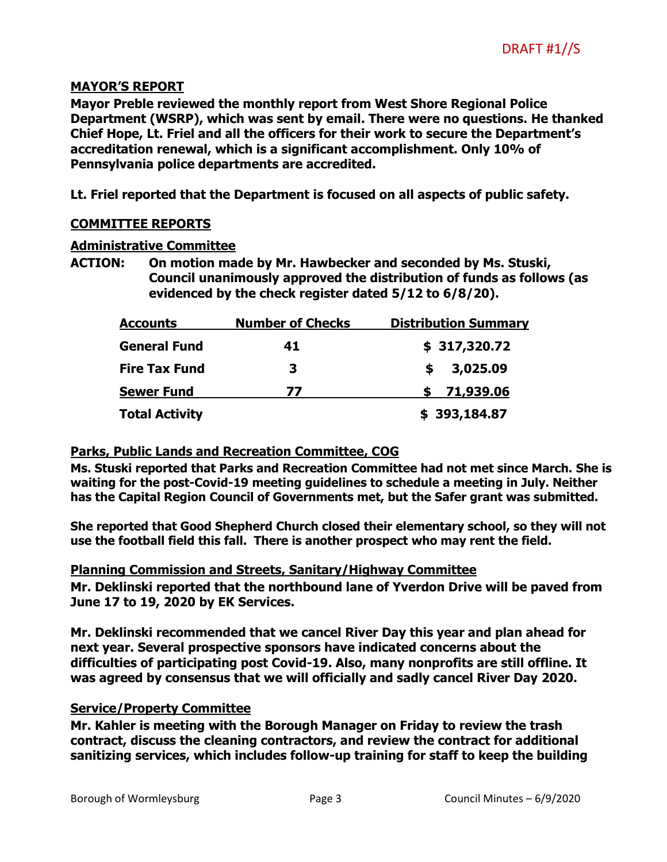#### **MAYOR'S REPORT**

**Mayor Preble reviewed the monthly report from West Shore Regional Police Department (WSRP), which was sent by email. There were no questions. He thanked Chief Hope, Lt. Friel and all the officers for their work to secure the Department's accreditation renewal, which is a significant accomplishment. Only 10% of Pennsylvania police departments are accredited.** 

**Lt. Friel reported that the Department is focused on all aspects of public safety.** 

## **COMMITTEE REPORTS**

#### **Administrative Committee**

**ACTION: On motion made by Mr. Hawbecker and seconded by Ms. Stuski, Council unanimously approved the distribution of funds as follows (as evidenced by the check register dated 5/12 to 6/8/20).**

| <b>Accounts</b>       | <b>Number of Checks</b> | <b>Distribution Summary</b> |
|-----------------------|-------------------------|-----------------------------|
| <b>General Fund</b>   | 41                      | \$317,320.72                |
| <b>Fire Tax Fund</b>  | 3                       | 3,025.09<br>S               |
| <b>Sewer Fund</b>     | 77                      | 71,939.06                   |
| <b>Total Activity</b> |                         | \$393,184.87                |

## **Parks, Public Lands and Recreation Committee, COG**

**Ms. Stuski reported that Parks and Recreation Committee had not met since March. She is waiting for the post-Covid-19 meeting guidelines to schedule a meeting in July. Neither has the Capital Region Council of Governments met, but the Safer grant was submitted.**

**She reported that Good Shepherd Church closed their elementary school, so they will not use the football field this fall. There is another prospect who may rent the field.** 

## **Planning Commission and Streets, Sanitary/Highway Committee**

**Mr. Deklinski reported that the northbound lane of Yverdon Drive will be paved from June 17 to 19, 2020 by EK Services.** 

**Mr. Deklinski recommended that we cancel River Day this year and plan ahead for next year. Several prospective sponsors have indicated concerns about the difficulties of participating post Covid-19. Also, many nonprofits are still offline. It was agreed by consensus that we will officially and sadly cancel River Day 2020.** 

#### **Service/Property Committee**

**Mr. Kahler is meeting with the Borough Manager on Friday to review the trash contract, discuss the cleaning contractors, and review the contract for additional sanitizing services, which includes follow-up training for staff to keep the building**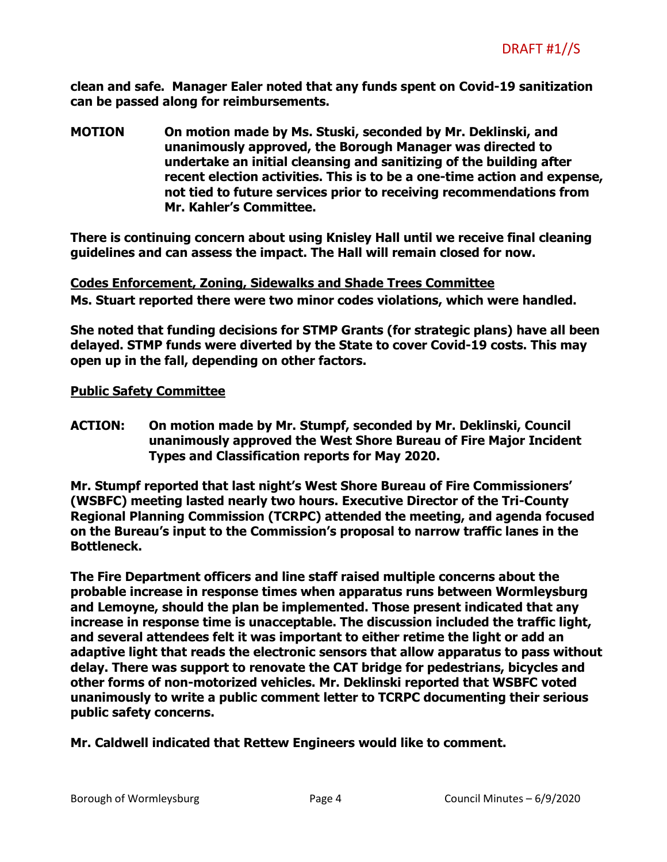**clean and safe. Manager Ealer noted that any funds spent on Covid-19 sanitization can be passed along for reimbursements.**

**MOTION On motion made by Ms. Stuski, seconded by Mr. Deklinski, and unanimously approved, the Borough Manager was directed to undertake an initial cleansing and sanitizing of the building after recent election activities. This is to be a one-time action and expense, not tied to future services prior to receiving recommendations from Mr. Kahler's Committee.** 

**There is continuing concern about using Knisley Hall until we receive final cleaning guidelines and can assess the impact. The Hall will remain closed for now.**

**Codes Enforcement, Zoning, Sidewalks and Shade Trees Committee Ms. Stuart reported there were two minor codes violations, which were handled.** 

**She noted that funding decisions for STMP Grants (for strategic plans) have all been delayed. STMP funds were diverted by the State to cover Covid-19 costs. This may open up in the fall, depending on other factors.** 

## **Public Safety Committee**

**ACTION: On motion made by Mr. Stumpf, seconded by Mr. Deklinski, Council unanimously approved the West Shore Bureau of Fire Major Incident Types and Classification reports for May 2020.** 

**Mr. Stumpf reported that last night's West Shore Bureau of Fire Commissioners' (WSBFC) meeting lasted nearly two hours. Executive Director of the Tri-County Regional Planning Commission (TCRPC) attended the meeting, and agenda focused on the Bureau's input to the Commission's proposal to narrow traffic lanes in the Bottleneck.** 

**The Fire Department officers and line staff raised multiple concerns about the probable increase in response times when apparatus runs between Wormleysburg and Lemoyne, should the plan be implemented. Those present indicated that any increase in response time is unacceptable. The discussion included the traffic light, and several attendees felt it was important to either retime the light or add an adaptive light that reads the electronic sensors that allow apparatus to pass without delay. There was support to renovate the CAT bridge for pedestrians, bicycles and other forms of non-motorized vehicles. Mr. Deklinski reported that WSBFC voted unanimously to write a public comment letter to TCRPC documenting their serious public safety concerns.** 

**Mr. Caldwell indicated that Rettew Engineers would like to comment.**